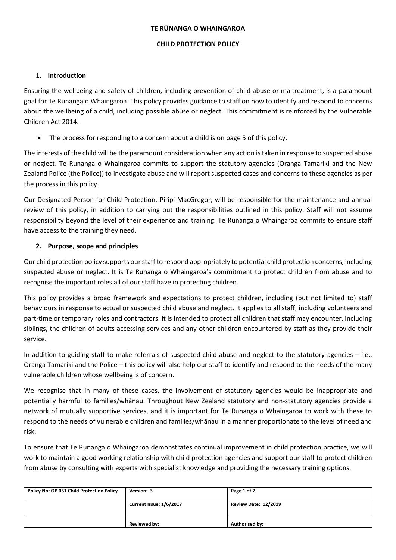#### **TE RŪNANGA O WHAINGAROA**

#### **CHILD PROTECTION POLICY**

## **1. Introduction**

Ensuring the wellbeing and safety of children, including prevention of child abuse or maltreatment, is a paramount goal for Te Runanga o Whaingaroa. This policy provides guidance to staff on how to identify and respond to concerns about the wellbeing of a child, including possible abuse or neglect. This commitment is reinforced by the Vulnerable Children Act 2014.

The process for responding to a concern about a child is on page 5 of this policy.

The interests of the child will be the paramount consideration when any action is taken in response to suspected abuse or neglect. Te Runanga o Whaingaroa commits to support the statutory agencies (Oranga Tamariki and the New Zealand Police (the Police)) to investigate abuse and will report suspected cases and concerns to these agencies as per the process in this policy.

Our Designated Person for Child Protection, Piripi MacGregor, will be responsible for the maintenance and annual review of this policy, in addition to carrying out the responsibilities outlined in this policy. Staff will not assume responsibility beyond the level of their experience and training. Te Runanga o Whaingaroa commits to ensure staff have access to the training they need.

# **2. Purpose, scope and principles**

Our child protection policy supports our staff to respond appropriately to potential child protection concerns, including suspected abuse or neglect. It is Te Runanga o Whaingaroa's commitment to protect children from abuse and to recognise the important roles all of our staff have in protecting children.

This policy provides a broad framework and expectations to protect children, including (but not limited to) staff behaviours in response to actual or suspected child abuse and neglect. It applies to all staff, including volunteers and part-time or temporary roles and contractors. It is intended to protect all children that staff may encounter, including siblings, the children of adults accessing services and any other children encountered by staff as they provide their service.

In addition to guiding staff to make referrals of suspected child abuse and neglect to the statutory agencies – i.e., Oranga Tamariki and the Police – this policy will also help our staff to identify and respond to the needs of the many vulnerable children whose wellbeing is of concern.

We recognise that in many of these cases, the involvement of statutory agencies would be inappropriate and potentially harmful to families/whānau. Throughout New Zealand statutory and non-statutory agencies provide a network of mutually supportive services, and it is important for Te Runanga o Whaingaroa to work with these to respond to the needs of vulnerable children and families/whānau in a manner proportionate to the level of need and risk.

To ensure that Te Runanga o Whaingaroa demonstrates continual improvement in child protection practice, we will work to maintain a good working relationship with child protection agencies and support our staff to protect children from abuse by consulting with experts with specialist knowledge and providing the necessary training options.

| Policy No: OP 051 Child Protection Policy | Version: 3              | Page 1 of 7                 |
|-------------------------------------------|-------------------------|-----------------------------|
|                                           | Current Issue: 1/6/2017 | <b>Review Date: 12/2019</b> |
|                                           | <b>Reviewed by:</b>     | <b>Authorised by:</b>       |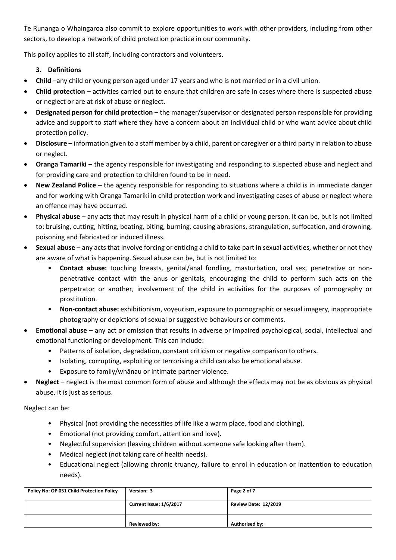Te Runanga o Whaingaroa also commit to explore opportunities to work with other providers, including from other sectors, to develop a network of child protection practice in our community.

This policy applies to all staff, including contractors and volunteers.

# **3. Definitions**

- **Child** –any child or young person aged under 17 years and who is not married or in a civil union.
- **Child protection –** activities carried out to ensure that children are safe in cases where there is suspected abuse or neglect or are at risk of abuse or neglect.
- **Designated person for child protection**  the manager/supervisor or designated person responsible for providing advice and support to staff where they have a concern about an individual child or who want advice about child protection policy.
- **Disclosure**  information given to a staff member by a child, parent or caregiver or a third party in relation to abuse or neglect.
- **Oranga Tamariki** the agency responsible for investigating and responding to suspected abuse and neglect and for providing care and protection to children found to be in need.
- **New Zealand Police**  the agency responsible for responding to situations where a child is in immediate danger and for working with Oranga Tamariki in child protection work and investigating cases of abuse or neglect where an offence may have occurred.
- **Physical abuse**  any acts that may result in physical harm of a child or young person. It can be, but is not limited to: bruising, cutting, hitting, beating, biting, burning, causing abrasions, strangulation, suffocation, and drowning, poisoning and fabricated or induced illness.
- **Sexual abuse**  any acts that involve forcing or enticing a child to take part in sexual activities, whether or not they are aware of what is happening. Sexual abuse can be, but is not limited to:
	- **Contact abuse:** touching breasts, genital/anal fondling, masturbation, oral sex, penetrative or nonpenetrative contact with the anus or genitals, encouraging the child to perform such acts on the perpetrator or another, involvement of the child in activities for the purposes of pornography or prostitution.
	- **Non-contact abuse:** exhibitionism, voyeurism, exposure to pornographic or sexual imagery, inappropriate photography or depictions of sexual or suggestive behaviours or comments.
- **Emotional abuse**  any act or omission that results in adverse or impaired psychological, social, intellectual and emotional functioning or development. This can include:
	- Patterns of isolation, degradation, constant criticism or negative comparison to others.
	- Isolating, corrupting, exploiting or terrorising a child can also be emotional abuse.
	- Exposure to family/whānau or intimate partner violence.
- **Neglect**  neglect is the most common form of abuse and although the effects may not be as obvious as physical abuse, it is just as serious.

Neglect can be:

- Physical (not providing the necessities of life like a warm place, food and clothing).
- Emotional (not providing comfort, attention and love).
- Neglectful supervision (leaving children without someone safe looking after them).
- Medical neglect (not taking care of health needs).
- Educational neglect (allowing chronic truancy, failure to enrol in education or inattention to education needs).

| Policy No: OP 051 Child Protection Policy | Version: 3              | Page 2 of 7                 |
|-------------------------------------------|-------------------------|-----------------------------|
|                                           | Current Issue: 1/6/2017 | <b>Review Date: 12/2019</b> |
|                                           | <b>Reviewed by:</b>     | <b>Authorised by:</b>       |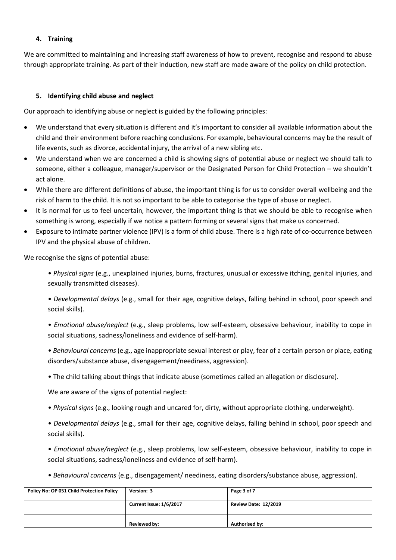## **4. Training**

We are committed to maintaining and increasing staff awareness of how to prevent, recognise and respond to abuse through appropriate training. As part of their induction, new staff are made aware of the policy on child protection.

## **5. Identifying child abuse and neglect**

Our approach to identifying abuse or neglect is guided by the following principles:

- We understand that every situation is different and it's important to consider all available information about the child and their environment before reaching conclusions. For example, behavioural concerns may be the result of life events, such as divorce, accidental injury, the arrival of a new sibling etc.
- We understand when we are concerned a child is showing signs of potential abuse or neglect we should talk to someone, either a colleague, manager/supervisor or the Designated Person for Child Protection – we shouldn't act alone.
- While there are different definitions of abuse, the important thing is for us to consider overall wellbeing and the risk of harm to the child. It is not so important to be able to categorise the type of abuse or neglect.
- It is normal for us to feel uncertain, however, the important thing is that we should be able to recognise when something is wrong, especially if we notice a pattern forming or several signs that make us concerned.
- Exposure to intimate partner violence (IPV) is a form of child abuse. There is a high rate of co-occurrence between IPV and the physical abuse of children.

We recognise the signs of potential abuse:

- *Physical signs* (e.g., unexplained injuries, burns, fractures, unusual or excessive itching, genital injuries, and sexually transmitted diseases).
- *Developmental delays* (e.g., small for their age, cognitive delays, falling behind in school, poor speech and social skills).
- *Emotional abuse/neglect* (e.g., sleep problems, low self-esteem, obsessive behaviour, inability to cope in social situations, sadness/loneliness and evidence of self-harm).
- *Behavioural concerns* (e.g., age inappropriate sexual interest or play, fear of a certain person or place, eating disorders/substance abuse, disengagement/neediness, aggression).
- The child talking about things that indicate abuse (sometimes called an allegation or disclosure).

We are aware of the signs of potential neglect:

- *Physical signs* (e.g., looking rough and uncared for, dirty, without appropriate clothing, underweight).
- *Developmental delays* (e.g., small for their age, cognitive delays, falling behind in school, poor speech and social skills).
- *Emotional abuse/neglect* (e.g., sleep problems, low self-esteem, obsessive behaviour, inability to cope in social situations, sadness/loneliness and evidence of self-harm).
- *Behavioural concerns* (e.g., disengagement/ neediness, eating disorders/substance abuse, aggression).

| Policy No: OP 051 Child Protection Policy | Version: 3              | Page 3 of 7                 |
|-------------------------------------------|-------------------------|-----------------------------|
|                                           | Current Issue: 1/6/2017 | <b>Review Date: 12/2019</b> |
|                                           | <b>Reviewed by:</b>     | Authorised by:              |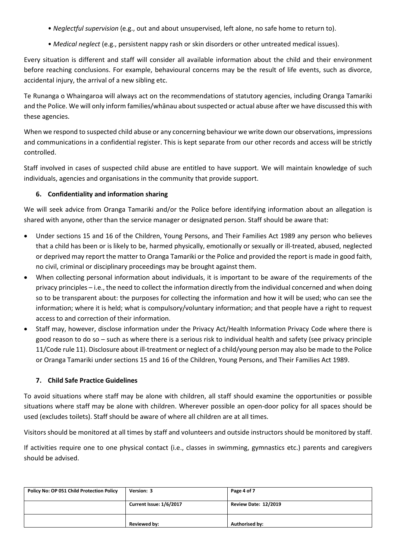- *Neglectful supervision* (e.g., out and about unsupervised, left alone, no safe home to return to).
- *Medical neglect* (e.g., persistent nappy rash or skin disorders or other untreated medical issues).

Every situation is different and staff will consider all available information about the child and their environment before reaching conclusions. For example, behavioural concerns may be the result of life events, such as divorce, accidental injury, the arrival of a new sibling etc.

Te Runanga o Whaingaroa will always act on the recommendations of statutory agencies, including Oranga Tamariki and the Police. We will only inform families/whānau about suspected or actual abuse after we have discussed this with these agencies.

When we respond to suspected child abuse or any concerning behaviour we write down our observations, impressions and communications in a confidential register. This is kept separate from our other records and access will be strictly controlled.

Staff involved in cases of suspected child abuse are entitled to have support. We will maintain knowledge of such individuals, agencies and organisations in the community that provide support.

# **6. Confidentiality and information sharing**

We will seek advice from Oranga Tamariki and/or the Police before identifying information about an allegation is shared with anyone, other than the service manager or designated person. Staff should be aware that:

- Under sections 15 and 16 of the Children, Young Persons, and Their Families Act 1989 any person who believes that a child has been or is likely to be, harmed physically, emotionally or sexually or ill-treated, abused, neglected or deprived may report the matter to Oranga Tamariki or the Police and provided the report is made in good faith, no civil, criminal or disciplinary proceedings may be brought against them.
- When collecting personal information about individuals, it is important to be aware of the requirements of the privacy principles – i.e., the need to collect the information directly from the individual concerned and when doing so to be transparent about: the purposes for collecting the information and how it will be used; who can see the information; where it is held; what is compulsory/voluntary information; and that people have a right to request access to and correction of their information.
- Staff may, however, disclose information under the Privacy Act/Health Information Privacy Code where there is good reason to do so – such as where there is a serious risk to individual health and safety (see privacy principle 11/Code rule 11). Disclosure about ill-treatment or neglect of a child/young person may also be made to the Police or Oranga Tamariki under sections 15 and 16 of the Children, Young Persons, and Their Families Act 1989.

# **7. Child Safe Practice Guidelines**

To avoid situations where staff may be alone with children, all staff should examine the opportunities or possible situations where staff may be alone with children. Wherever possible an open-door policy for all spaces should be used (excludes toilets). Staff should be aware of where all children are at all times.

Visitors should be monitored at all times by staff and volunteers and outside instructors should be monitored by staff.

If activities require one to one physical contact (i.e., classes in swimming, gymnastics etc.) parents and caregivers should be advised.

| Policy No: OP 051 Child Protection Policy | Version: 3              | Page 4 of 7                 |
|-------------------------------------------|-------------------------|-----------------------------|
|                                           | Current Issue: 1/6/2017 | <b>Review Date: 12/2019</b> |
|                                           | <b>Reviewed by:</b>     | <b>Authorised by:</b>       |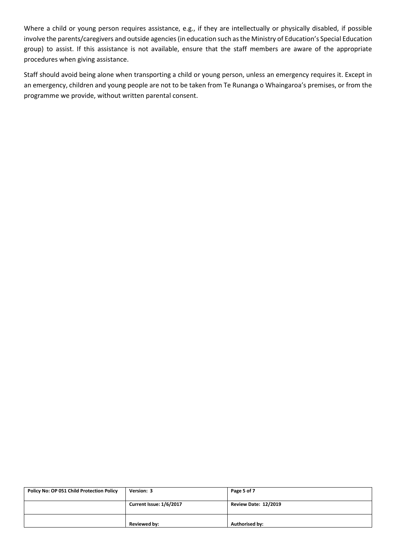Where a child or young person requires assistance, e.g., if they are intellectually or physically disabled, if possible involve the parents/caregivers and outside agencies (in education such as the Ministry of Education's Special Education group) to assist. If this assistance is not available, ensure that the staff members are aware of the appropriate procedures when giving assistance.

Staff should avoid being alone when transporting a child or young person, unless an emergency requires it. Except in an emergency, children and young people are not to be taken from Te Runanga o Whaingaroa's premises, or from the programme we provide, without written parental consent.

| Policy No: OP 051 Child Protection Policy | Version: 3              | Page 5 of 7                 |
|-------------------------------------------|-------------------------|-----------------------------|
|                                           | Current Issue: 1/6/2017 | <b>Review Date: 12/2019</b> |
|                                           | <b>Reviewed by:</b>     | <b>Authorised by:</b>       |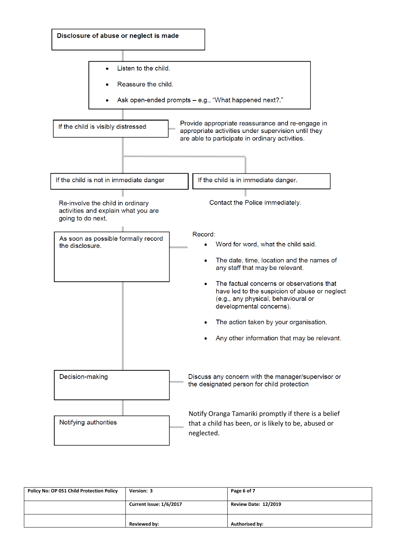

| Policy No: OP 051 Child Protection Policy | Version: 3              | Page 6 of 7                 |
|-------------------------------------------|-------------------------|-----------------------------|
|                                           | Current Issue: 1/6/2017 | <b>Review Date: 12/2019</b> |
|                                           | <b>Reviewed by:</b>     | <b>Authorised by:</b>       |